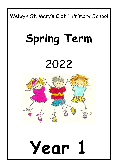

## **Spring Term**

### 2022



# **Year 1**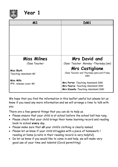

#### **Year 1**

| M1                                  | DM1                                               |
|-------------------------------------|---------------------------------------------------|
|                                     |                                                   |
|                                     |                                                   |
|                                     |                                                   |
|                                     |                                                   |
|                                     |                                                   |
| <b>Miss Milnes</b>                  | <b>Mrs David and</b>                              |
| Class Teacher                       | Class Teacher Monday-Thursday (am)                |
|                                     | <b>Mrs Castiglione</b>                            |
| Miss Blyth<br>Teaching Assistant M1 | Class Teacher and Thursday (pm) and Friday<br>DM1 |
| <b>Miss Mills</b>                   | Mrs Porter Teaching Assistant DM1                 |
| PPA release cover M1                | Mrs Pearce Teaching Assistant DM1                 |
|                                     | Mrs Kinsella Teaching Assistant DM1               |

We hope that you find the information in this leaflet useful but please let us know if you need any more information and we will arrange a time to talk with you.

There are a few general things that you can do to help us.

- Please ensure that your child is at school before the school bell has rung.
- Please check that your child brings their home learning record and reading book to school **every** day.
- Please make sure that **all** your child's clothing is clearly named.
- Please let us know if your child struggles with a piece of homework / reading at home (a note in their reading record is very helpful).
- Do let us know if you would like to come in and help, we will make very good use of your time and talents! (Covid permitting)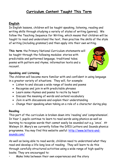#### **Curriculum Content Taught This Term**

#### **English**

In English lessons, children will be taught speaking, listening, reading and writing skills through studying a variety of styles of writing (genres). We follow the Teaching Sequence for Writing, which means that children will be taught to read and understand the text, then practise the skills of the style of writing (including grammar) and then apply into their own writing.

**This term** the Primary National Curriculum statements will be taught through the following modules: stories with predictable and patterned language; traditional tales; poems with pattern and rhyme; information texts and a recount.



#### **Speaking and Listening**

The children will become more familiar with and confident in using language in a greater variety of situations. They will, for example:

- Listen to and discuss a wide range of books and poems
- Recognise and join in with predictable phrases
- Learn some rhymes and poems to recite by heart
- Discuss the meaning of words and extend vocabulary
- Join in with discussions and explain their understanding
- Change their speaking when taking on a role of a character during play

#### **Reading**

This part of the curriculum is broken down into 'reading' and 'comprehension'. In Year 1, pupils continue to learn to read words using phonics as well as learning to recognise words that cannot easily be sounded out e.g. 'once'. At Welwyn St. Mary's we currently follow the DfES Letters and Sounds phonics programme. You may find this website useful: [http://www.letters-and](http://www.letters-and-sounds.com/)[sounds.com/](http://www.letters-and-sounds.com/)

As well as being able to read words, children need to understand what they read and develop a life-long love of reading. They will learn to do this through carefully structured activities using a wide range of high-quality books. They are encouraged to:

• Make links between their own experiences and the story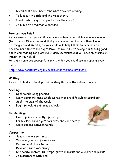- Check that they understand what they are reading
- Talk about the title and the main events
- Predict what might happen before they read it
- Join in with predictable phrases

#### *How can you help?*

Please ensure that your child reads aloud to an adult at home every evening (for at least 10 minutes) and that you comment each day in their Home Learning Record. Reading to your child also helps them to hear how to become more fluent and expressive – as well as just having fun sharing good books and reading for pleasure. A daily 10 minute slot will have an enormous impact on your child.

Here are some age appropriate texts which you could use to support your child:

<http://www.booktrust.org.uk/books/children/booklists/241/>

#### **Writing**

In Year 1 children develop their writing through the following areas:

#### **Spelling:**

- Spell words using phonics
- Learn commonly used whole words that are difficult to sound out
- Spell the days of the week
- Begin to look at patterns and rules

#### **Handwriting:**

- Hold a pencil correctly pincer grip
- Form letters and digits correctly and confidently
- Leave spaces between words

#### **Composition:**

- Speak in whole sentences
- Write sequences of sentences
- Re-read and check for sense
- Develop a wide vocabulary
- Use capital letters, full stops, question marks and exclamation marks
- Join sentences with 'and'

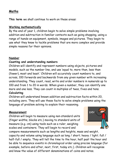#### **Maths**

**This term** we shall continue to work on these areas:

#### **Working mathematically**

By the end of year 1, children begin to solve simple problems involving addition and subtraction in familiar contexts such as going shopping, using a range of hands-on equipment, symbols, images and pictures. They begin to use what they know to tackle problems that are more complex and provide simple reasons for their opinions.

#### **Number**

#### **Counting and understanding numbers**

Children will identify and represent numbers using objects, pictures and models, such as the number line, and use 'equal to, more than, less than (fewer), most and least.' Children will accurately count numbers to, and across, 100 forwards and backwards from any given number with increasing understanding. They count, read, write and order numbers in numerals up to 100 and from 1 to 20 in words. When given a number, they can identify one more and one less. They can count in multiples of twos, fives and tens.

#### **Calculating**

Children will understand known addition and subtraction facts within 20, including zero. They will use these facts to solve simple problems using the language of problem solving to explain their reasoning.

#### **Measurement**

Children will begin to measure using non-standard units (finger widths, blocks etc.) moving to standard units of measure (e.g. cm) using tools such as a ruler, weighing scales and containers. They will begin to record and



compare measurements such as lengths and heights, mass and weight, capacity and volume using language such as long / short; heavy / light; full / half-full / empty. They will tell the time to the hour, half past the hour and be able to sequence events in chronological order using precise language (for example, before and after, next, first, today etc.). Children will recognise and know the value of different denominations of coins and notes.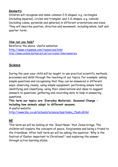#### **Geometry**

Children will recognise and name common 2-D shapes, e.g. rectangles (including squares), circles and triangles, and 3-D shapes, e.g. cuboids (including cubes, pyramids and spheres) in different orientations and sizes. They will describe position, direction and movement, including whole, half and quarter turns.

#### *How can you help?*

Reinforce the above. Useful websites: <http://www.ictgames.com/resources.html> <http://www.coxhoe.durham.sch.uk/curriculum-links/numeracy>

#### **Science**

During the year your child will be taught to use practical scientific methods, processes and skills through the teaching of our topics. For example: asking simple questions and recognising that they can be answered in different ways; observing closely, using simple equipment; performing simple tests; identifying and classifying; using their observations and ideas to suggest answers to questions; gathering and recording data to help in answering questions.

**This term our topics are: Everyday Materials, Seasonal Change including how animals adapt to different seasons.**

A useful website:

[http://www.bbc.co.uk/schools/scienceclips/index\\_flash.shtml](http://www.bbc.co.uk/schools/scienceclips/index_flash.shtml)

#### **RE**

This term we will be looking at the 'Good News' that Jesus brings. The children will explore the concepts of peace, forgiveness and being a friend to the friendless. After half term we will be asking the question 'Why is the festival of Easter important to Christians?' and exploring the answer through active learning styles.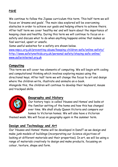#### **PSHE**

We continue to follow the Jigsaw curriculum this term. This half term we will focus on 'dreams and goals'. The main idea explored will be overcoming obstacles in order to achieve our goals and helping others to achieve theirs. After half term we cover 'healthy me' and will learn about the importance of keeping clean and healthy. During this term we will continue to focus on esafety and discuss what to do when anything happens online that makes us feel worried, upset or unsafe.

Some useful websites for e-safety are shown below. [www.nspcc.org.uk/preventing-abuse/keeping-children-safe/online-safety/](http://www.nspcc.org.uk/preventing-abuse/keeping-children-safe/online-safety/) <http://www.safetynetkids.org.uk/personal-safety/staying-safe-online/> [www.saferinternet.org.uk](http://www.saferinternet.org.uk/)

#### **Computing**

This term we will cover two elements of computing. We will begin with coding and computational thinking which involves exploring mazes using the directional keys. After half term we will change the focus to art and design where the children write, illustrate and animate an e-book.

Alongside this, the children will continue to develop their keyboard, mouse and trackpad skills.



#### **Geography and History**

Our history topic is called 'Houses and Homes' and looks at the familiar setting of the home and how this has changed over time. We shall study Queen Victoria and compare our homes to Victorian homes. We will also have a Victorian

themed week. We will focus on geography again in the summer term.

#### **Design and Technology and Art**

Our 'Houses and Homes' theme will be developed in DandT as we design and make junk models of buildings (incorporating our Science objectives of looking at different materials and their properties). In art, we will be using a range of materials creatively to design and make products, focussing on colour, texture, shape and form.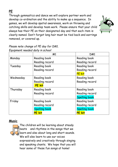#### **PE**

Through gymnastics and dance we will explore partner work and develop co-ordination and the ability to make up a sequence. In games, we will develop spatial awareness, work on throwing and catching skills and develop team work. Please ensure that your child always has their PE on their designated day and that each item is clearly named. Don't forget long hair must be tied back and earrings removed, or covered up.



|           | M <sub>1</sub>       | DM <sub>1</sub>      |
|-----------|----------------------|----------------------|
| Monday    | Reading book         | Reading book         |
|           | Reading record       | Reading record       |
| Tuesday   | Reading book         | Reading book         |
|           | Reading record       | Reading record       |
|           |                      | <b>PE kit</b>        |
| Wednesday | Reading book         | Reading book         |
|           | Reading record       | Reading record       |
|           | <b>PE kit</b>        |                      |
| Thursday  | Reading book         | Reading book         |
|           | Reading record       | Reading record       |
|           |                      | <b>Spelling book</b> |
| Friday    | Reading book         | Reading book         |
|           | Reading record       | Reading record       |
|           | <b>Spelling book</b> | <b>Spelling book</b> |
|           | <b>PE</b> kit        | PE kit               |

#### *Please note change of PE day for DM1. Equipment needed daily in school*

#### **Music**



The children will be learning about steady beats and rhythms in the songs that we learn and also about long and short sounds. We will also learn to use our voices expressively and creatively through singing and speaking chants. We hope that you will hear some of these fun songs at home!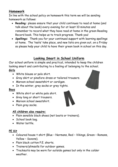#### **Homework**

In line with the school policy on homework this term we will be sending homework as follows:

- **Reading:** please ensure that your child continues to read at home (and talk about the book) every evening for at least 10 minutes and remember to record what they have read at home in the green Reading Record book. This helps us to track progress. Thank you!
- **Spellings:** Thank you for your continued support with learning spellings at home. The 'tests' take place, and new lists are given out, on a Friday so please help your child to have their green book in school on this day.

#### **Looking Smart in School Uniform**

Our school uniform is simple and practical, intended to keep the children looking smart and contributing to a feeling of belonging to the school.

#### **Girls**

- White blouse or polo shirt.
- Grey skirt or pinafore dress or tailored trousers.
- Maroon school sweatshirt or cardigan.
- In the winter, grey socks or grey tights.

#### **Boys**

- White shirt or white polo shirt.
- Grey long or short trousers.
- Maroon school sweatshirt.
- Plain grey socks.

#### **All children also require:**

- Plain sensible black shoes (not boots or trainers).
- School book bag.
- Water bottle.

#### **PE Kit**

- Coloured house t-shirt (Blue Normans, Red Vikings, Green Romans, Yellow – Saxons).
- Plain black cotton P.E. shorts.
- Trainers/plimsolls for outdoor games.
- Tracksuits may be worn for outside games but only in the colder weather.